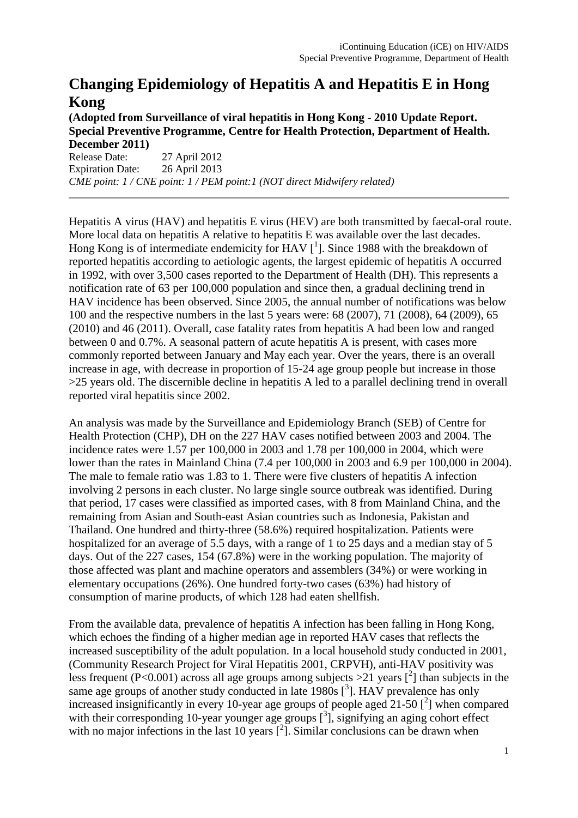## **Changing Epidemiology of Hepatitis A and Hepatitis E in Hong Kong**

**(Adopted from Surveillance of viral hepatitis in Hong Kong - 2010 Update Report. Special Preventive Programme, Centre for Health Protection, Department of Health.** 

**December 2011)** 27 April 2012 Expiration Date: 26 April 2013 *CME point: 1 / CNE point: 1 / PEM point:1 (NOT direct Midwifery related)* 

Hepatitis A virus (HAV) and hepatitis E virus (HEV) are both transmitted by faecal-oral route. More local data on hepatitis A relative to hepatitis E was available over the last decades. Hong Kong is of intermediate endemicity for HAV  $[^1]$ . Since 1988 with the breakdown of reported hepatitis according to aetiologic agents, the largest epidemic of hepatitis A occurred in 1992, with over 3,500 cases reported to the Department of Health (DH). This represents a notification rate of 63 per 100,000 population and since then, a gradual declining trend in HAV incidence has been observed. Since 2005, the annual number of notifications was below 100 and the respective numbers in the last 5 years were: 68 (2007), 71 (2008), 64 (2009), 65 (2010) and 46 (2011). Overall, case fatality rates from hepatitis A had been low and ranged between 0 and 0.7%. A seasonal pattern of acute hepatitis A is present, with cases more commonly reported between January and May each year. Over the years, there is an overall increase in age, with decrease in proportion of 15-24 age group people but increase in those >25 years old. The discernible decline in hepatitis A led to a parallel declining trend in overall reported viral hepatitis since 2002.

An analysis was made by the Surveillance and Epidemiology Branch (SEB) of Centre for Health Protection (CHP), DH on the 227 HAV cases notified between 2003 and 2004. The incidence rates were 1.57 per 100,000 in 2003 and 1.78 per 100,000 in 2004, which were lower than the rates in Mainland China (7.4 per 100,000 in 2003 and 6.9 per 100,000 in 2004). The male to female ratio was 1.83 to 1. There were five clusters of hepatitis A infection involving 2 persons in each cluster. No large single source outbreak was identified. During that period, 17 cases were classified as imported cases, with 8 from Mainland China, and the remaining from Asian and South-east Asian countries such as Indonesia, Pakistan and Thailand. One hundred and thirty-three (58.6%) required hospitalization. Patients were hospitalized for an average of 5.5 days, with a range of 1 to 25 days and a median stay of 5 days. Out of the 227 cases, 154 (67.8%) were in the working population. The majority of those affected was plant and machine operators and assemblers (34%) or were working in elementary occupations (26%). One hundred forty-two cases (63%) had history of consumption of marine products, of which 128 had eaten shellfish.

From the available data, prevalence of hepatitis A infection has been falling in Hong Kong, which echoes the finding of a higher median age in reported HAV cases that reflects the increased susceptibility of the adult population. In a local household study conducted in 2001, (Community Research Project for Viral Hepatitis 2001, CRPVH), anti-HAV positivity was less frequent (P<0.001) across all age groups among subjects >21 years  $\binom{2}{1}$  than subjects in the same age groups of another study conducted in late  $1980s$   $\left[^{3}$ ]. HAV prevalence has only increased insignificantly in every 10-year age groups of people aged 21-50  $[^2]$  when compared with their corresponding 10-year younger age groups  $[^{3}]$ , signifying an aging cohort effect with no major infections in the last 10 years  $[^2]$ . Similar conclusions can be drawn when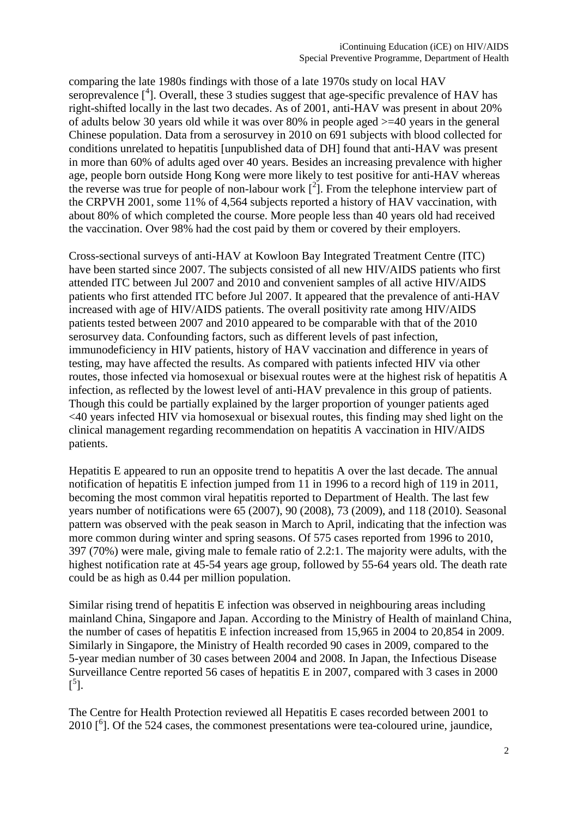comparing the late 1980s findings with those of a late 1970s study on local HAV seroprevalence [<sup>4</sup>]. Overall, these 3 studies suggest that age-specific prevalence of HAV has right-shifted locally in the last two decades. As of 2001, anti-HAV was present in about 20% of adults below 30 years old while it was over 80% in people aged >=40 years in the general Chinese population. Data from a serosurvey in 2010 on 691 subjects with blood collected for conditions unrelated to hepatitis [unpublished data of DH] found that anti-HAV was present in more than 60% of adults aged over 40 years. Besides an increasing prevalence with higher age, people born outside Hong Kong were more likely to test positive for anti-HAV whereas the reverse was true for people of non-labour work  $\binom{2}{1}$ . From the telephone interview part of the CRPVH 2001, some 11% of 4,564 subjects reported a history of HAV vaccination, with about 80% of which completed the course. More people less than 40 years old had received the vaccination. Over 98% had the cost paid by them or covered by their employers.

Cross-sectional surveys of anti-HAV at Kowloon Bay Integrated Treatment Centre (ITC) have been started since 2007. The subjects consisted of all new HIV/AIDS patients who first attended ITC between Jul 2007 and 2010 and convenient samples of all active HIV/AIDS patients who first attended ITC before Jul 2007. It appeared that the prevalence of anti-HAV increased with age of HIV/AIDS patients. The overall positivity rate among HIV/AIDS patients tested between 2007 and 2010 appeared to be comparable with that of the 2010 serosurvey data. Confounding factors, such as different levels of past infection, immunodeficiency in HIV patients, history of HAV vaccination and difference in years of testing, may have affected the results. As compared with patients infected HIV via other routes, those infected via homosexual or bisexual routes were at the highest risk of hepatitis A infection, as reflected by the lowest level of anti-HAV prevalence in this group of patients. Though this could be partially explained by the larger proportion of younger patients aged <40 years infected HIV via homosexual or bisexual routes, this finding may shed light on the clinical management regarding recommendation on hepatitis A vaccination in HIV/AIDS patients.

Hepatitis E appeared to run an opposite trend to hepatitis A over the last decade. The annual notification of hepatitis E infection jumped from 11 in 1996 to a record high of 119 in 2011, becoming the most common viral hepatitis reported to Department of Health. The last few years number of notifications were 65 (2007), 90 (2008), 73 (2009), and 118 (2010). Seasonal pattern was observed with the peak season in March to April, indicating that the infection was more common during winter and spring seasons. Of 575 cases reported from 1996 to 2010, 397 (70%) were male, giving male to female ratio of 2.2:1. The majority were adults, with the highest notification rate at 45-54 years age group, followed by 55-64 years old. The death rate could be as high as 0.44 per million population.

Similar rising trend of hepatitis E infection was observed in neighbouring areas including mainland China, Singapore and Japan. According to the Ministry of Health of mainland China, the number of cases of hepatitis E infection increased from 15,965 in 2004 to 20,854 in 2009. Similarly in Singapore, the Ministry of Health recorded 90 cases in 2009, compared to the 5-year median number of 30 cases between 2004 and 2008. In Japan, the Infectious Disease Surveillance Centre reported 56 cases of hepatitis E in 2007, compared with 3 cases in 2000  $\left[ \begin{matrix} 5 \end{matrix} \right]$ .

The Centre for Health Protection reviewed all Hepatitis E cases recorded between 2001 to 2010 [<sup>6</sup> ]. Of the 524 cases, the commonest presentations were tea-coloured urine, jaundice,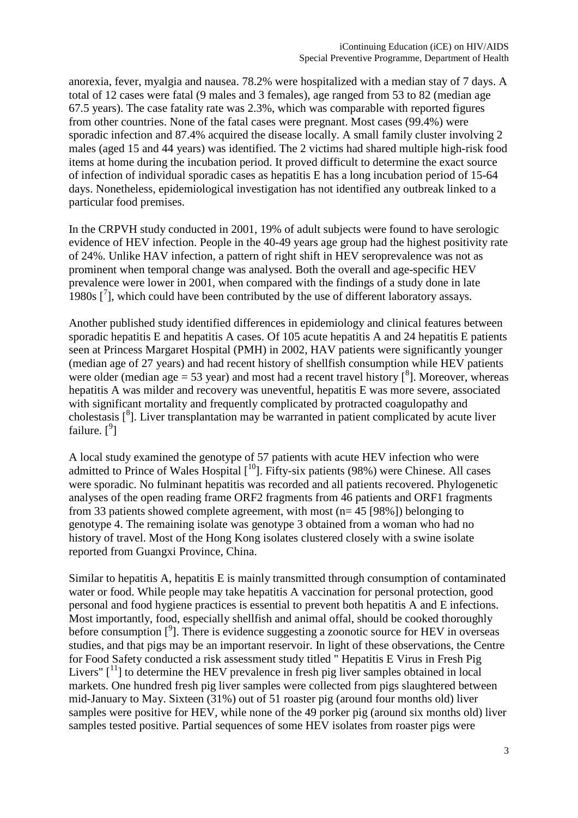anorexia, fever, myalgia and nausea. 78.2% were hospitalized with a median stay of 7 days. A total of 12 cases were fatal (9 males and 3 females), age ranged from 53 to 82 (median age 67.5 years). The case fatality rate was 2.3%, which was comparable with reported figures from other countries. None of the fatal cases were pregnant. Most cases (99.4%) were sporadic infection and 87.4% acquired the disease locally. A small family cluster involving 2 males (aged 15 and 44 years) was identified. The 2 victims had shared multiple high-risk food items at home during the incubation period. It proved difficult to determine the exact source of infection of individual sporadic cases as hepatitis E has a long incubation period of 15-64 days. Nonetheless, epidemiological investigation has not identified any outbreak linked to a particular food premises.

In the CRPVH study conducted in 2001, 19% of adult subjects were found to have serologic evidence of HEV infection. People in the 40-49 years age group had the highest positivity rate of 24%. Unlike HAV infection, a pattern of right shift in HEV seroprevalence was not as prominent when temporal change was analysed. Both the overall and age-specific HEV prevalence were lower in 2001, when compared with the findings of a study done in late 1980s  $\left[$ <sup>7</sup>], which could have been contributed by the use of different laboratory assays.

Another published study identified differences in epidemiology and clinical features between sporadic hepatitis E and hepatitis A cases. Of 105 acute hepatitis A and 24 hepatitis E patients seen at Princess Margaret Hospital (PMH) in 2002, HAV patients were significantly younger (median age of 27 years) and had recent history of shellfish consumption while HEV patients were older (median age = 53 year) and most had a recent travel history  $\binom{8}{1}$ . Moreover, whereas hepatitis A was milder and recovery was uneventful, hepatitis E was more severe, associated with significant mortality and frequently complicated by protracted coagulopathy and cholestasis [<sup>8</sup>]. Liver transplantation may be warranted in patient complicated by acute liver failure.  $[$ <sup>9</sup>]

A local study examined the genotype of 57 patients with acute HEV infection who were admitted to Prince of Wales Hospital  $[10]$ . Fifty-six patients (98%) were Chinese. All cases were sporadic. No fulminant hepatitis was recorded and all patients recovered. Phylogenetic analyses of the open reading frame ORF2 fragments from 46 patients and ORF1 fragments from 33 patients showed complete agreement, with most (n= 45 [98%]) belonging to genotype 4. The remaining isolate was genotype 3 obtained from a woman who had no history of travel. Most of the Hong Kong isolates clustered closely with a swine isolate reported from Guangxi Province, China.

Similar to hepatitis A, hepatitis E is mainly transmitted through consumption of contaminated water or food. While people may take hepatitis A vaccination for personal protection, good personal and food hygiene practices is essential to prevent both hepatitis A and E infections. Most importantly, food, especially shellfish and animal offal, should be cooked thoroughly before consumption [<sup>9</sup>]. There is evidence suggesting a zoonotic source for HEV in overseas studies, and that pigs may be an important reservoir. In light of these observations, the Centre for Food Safety conducted a risk assessment study titled " Hepatitis E Virus in Fresh Pig Livers"  $[1]$  to determine the HEV prevalence in fresh pig liver samples obtained in local markets. One hundred fresh pig liver samples were collected from pigs slaughtered between mid-January to May. Sixteen (31%) out of 51 roaster pig (around four months old) liver samples were positive for HEV, while none of the 49 porker pig (around six months old) liver samples tested positive. Partial sequences of some HEV isolates from roaster pigs were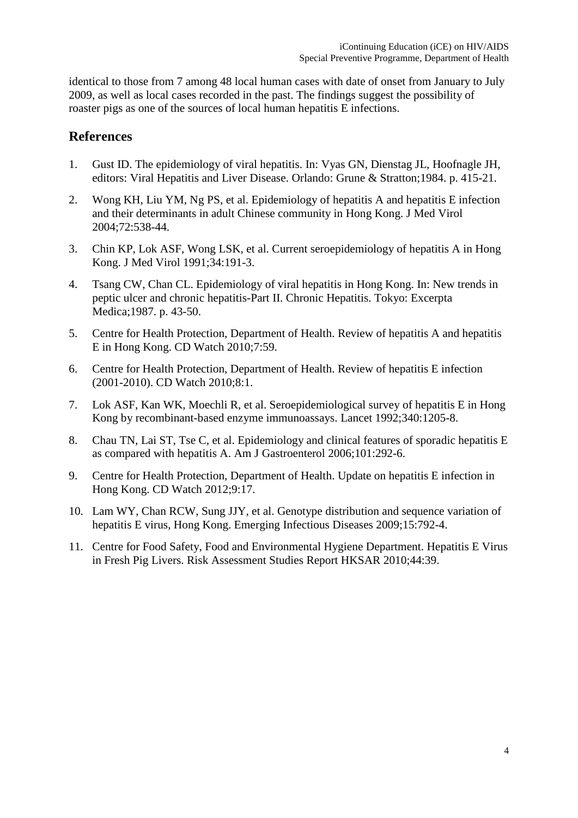identical to those from 7 among 48 local human cases with date of onset from January to July 2009, as well as local cases recorded in the past. The findings suggest the possibility of roaster pigs as one of the sources of local human hepatitis E infections.

## **References**

- 1. Gust ID. The epidemiology of viral hepatitis. In: Vyas GN, Dienstag JL, Hoofnagle JH, editors: Viral Hepatitis and Liver Disease. Orlando: Grune & Stratton;1984. p. 415-21.
- 2. Wong KH, Liu YM, Ng PS, et al. Epidemiology of hepatitis A and hepatitis E infection and their determinants in adult Chinese community in Hong Kong. J Med Virol 2004;72:538-44.
- 3. Chin KP, Lok ASF, Wong LSK, et al. Current seroepidemiology of hepatitis A in Hong Kong. J Med Virol 1991;34:191-3.
- 4. Tsang CW, Chan CL. Epidemiology of viral hepatitis in Hong Kong. In: New trends in peptic ulcer and chronic hepatitis-Part II. Chronic Hepatitis. Tokyo: Excerpta Medica;1987. p. 43-50.
- 5. Centre for Health Protection, Department of Health. Review of hepatitis A and hepatitis E in Hong Kong. CD Watch 2010;7:59.
- 6. Centre for Health Protection, Department of Health. Review of hepatitis E infection (2001-2010). CD Watch 2010;8:1.
- 7. Lok ASF, Kan WK, Moechli R, et al. Seroepidemiological survey of hepatitis E in Hong Kong by recombinant-based enzyme immunoassays. Lancet 1992;340:1205-8.
- 8. Chau TN, Lai ST, Tse C, et al. Epidemiology and clinical features of sporadic hepatitis E as compared with hepatitis A. Am J Gastroenterol 2006;101:292-6.
- 9. Centre for Health Protection, Department of Health. Update on hepatitis E infection in Hong Kong. CD Watch 2012;9:17.
- 10. Lam WY, Chan RCW, Sung JJY, et al. Genotype distribution and sequence variation of hepatitis E virus, Hong Kong. Emerging Infectious Diseases 2009;15:792-4.
- 11. Centre for Food Safety, Food and Environmental Hygiene Department. Hepatitis E Virus in Fresh Pig Livers. Risk Assessment Studies Report HKSAR 2010;44:39.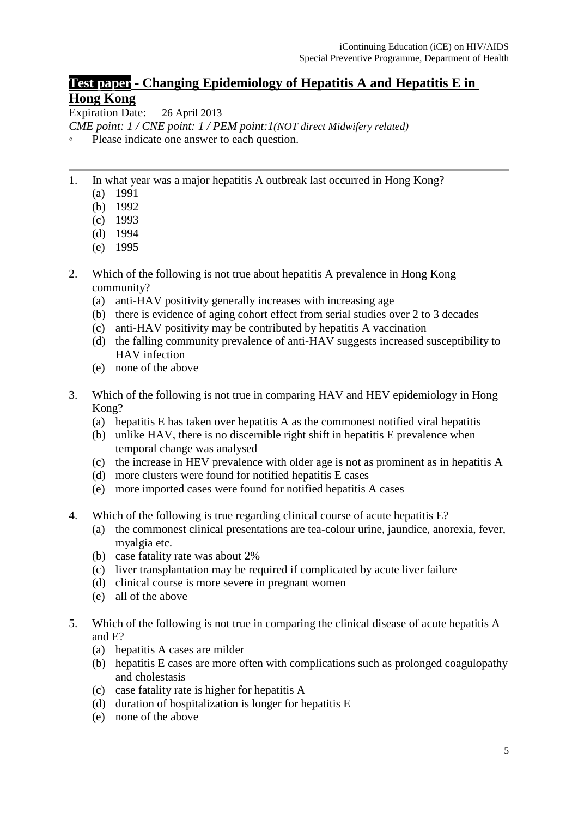## **Test paper - Changing Epidemiology of Hepatitis A and Hepatitis E in Hong Kong**

Expiration Date: 26 April 2013

*CME point: 1 / CNE point: 1 / PEM point:1(NOT direct Midwifery related)*

- Please indicate one answer to each question.
- 1. In what year was a major hepatitis A outbreak last occurred in Hong Kong?
	- (a) 1991
	- (b) 1992
	- (c) 1993
	- (d) 1994
	- (e) 1995
- 2. Which of the following is not true about hepatitis A prevalence in Hong Kong community?
	- (a) anti-HAV positivity generally increases with increasing age
	- (b) there is evidence of aging cohort effect from serial studies over 2 to 3 decades
	- (c) anti-HAV positivity may be contributed by hepatitis A vaccination
	- (d) the falling community prevalence of anti-HAV suggests increased susceptibility to HAV infection
	- (e) none of the above
- 3. Which of the following is not true in comparing HAV and HEV epidemiology in Hong Kong?
	- (a) hepatitis E has taken over hepatitis A as the commonest notified viral hepatitis
	- (b) unlike HAV, there is no discernible right shift in hepatitis E prevalence when temporal change was analysed
	- (c) the increase in HEV prevalence with older age is not as prominent as in hepatitis A
	- (d) more clusters were found for notified hepatitis E cases
	- (e) more imported cases were found for notified hepatitis A cases
- 4. Which of the following is true regarding clinical course of acute hepatitis E?
	- (a) the commonest clinical presentations are tea-colour urine, jaundice, anorexia, fever, myalgia etc.
	- (b) case fatality rate was about 2%
	- (c) liver transplantation may be required if complicated by acute liver failure
	- (d) clinical course is more severe in pregnant women
	- (e) all of the above
- 5. Which of the following is not true in comparing the clinical disease of acute hepatitis A and E?
	- (a) hepatitis A cases are milder
	- (b) hepatitis E cases are more often with complications such as prolonged coagulopathy and cholestasis
	- (c) case fatality rate is higher for hepatitis A
	- (d) duration of hospitalization is longer for hepatitis E
	- (e) none of the above